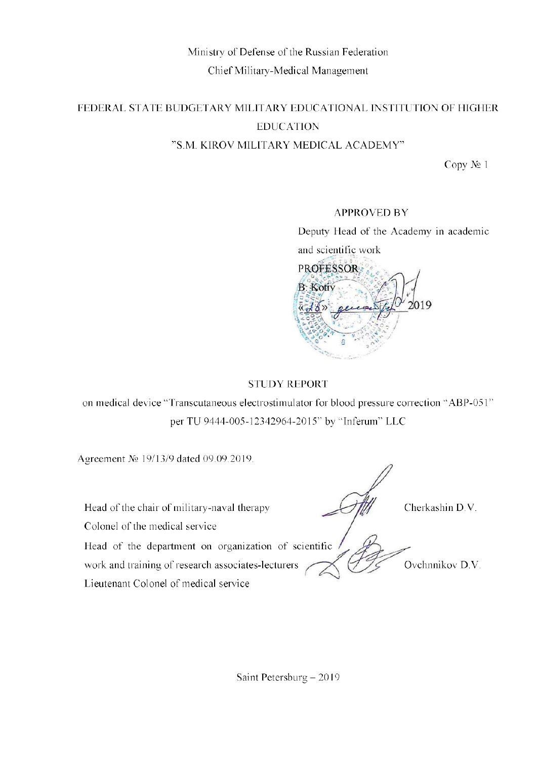# Ministry of Defense of the Russian Federation Chief Military-Medical Management

# FEDERAL STATE BUDGETARY MILITARY EDUCATIONAL INSTITUTION OF HIGHER **EDUCATION** "S.M. KIROV MILITARY MEDICAL ACADEMY"

Copy № 1

# **APPROVED BY**

Deputy Head of the Academy in academic and scientific work



# **STUDY REPORT**

on medical device "Transcutaneous electrostimulator for blood pressure correction "ABP-051" per TU 9444-005-12342964-2015" by "Inferum" LLC

Agreement № 19/13/9 dated 09.09.2019.

Head of the chair of military-naval therapy

Colonel of the medical service

Head of the department on organization of scientific

work and training of research associates-lecturers

Lieutenant Colonel of medical service

Cherkashin D.V.

Ovchnnikov D.V.

Saint Petersburg - 2019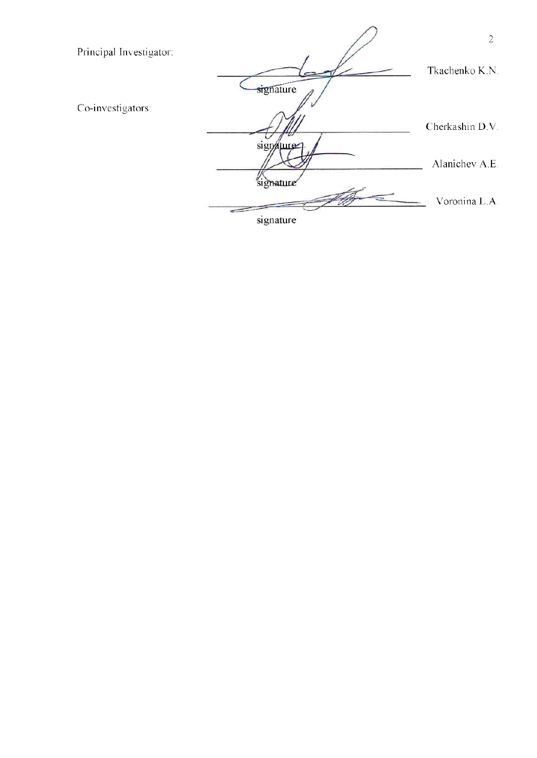

signature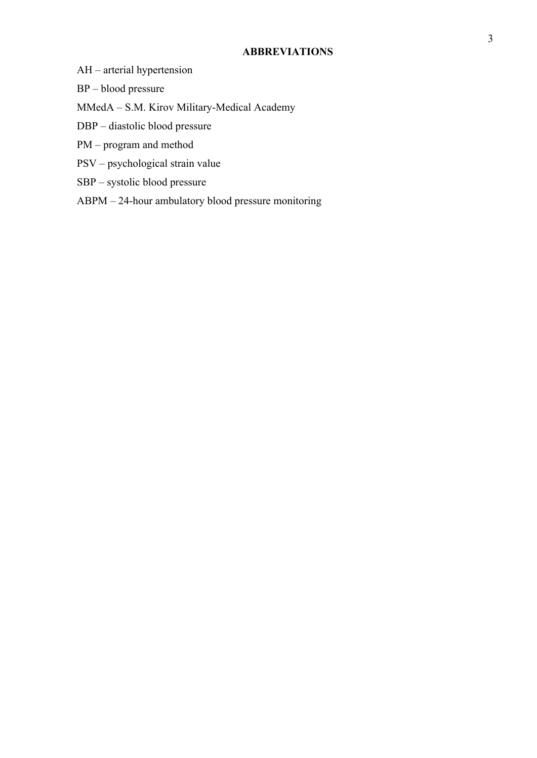#### **ABBREVIATIONS**

- AH arteriаl hypertension
- BP blood pressure

MMedA – S.M. Kirov Military-Medical Academy

- DBP diastolic blood pressure
- PM program and method
- PSV psychological strain value
- SBP systolic blood pressure
- ABPM 24-hour ambulatory blood pressure monitoring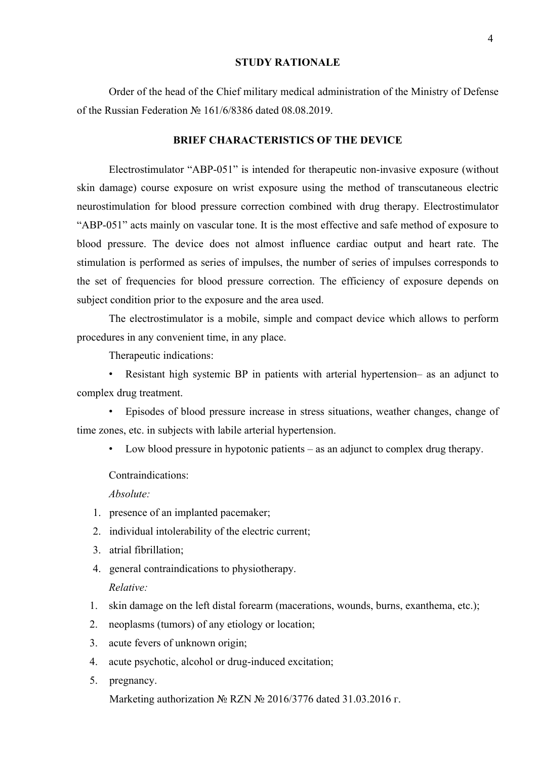#### **STUDY RATIONALE**

Order of the head of the Chief military medical administration of the Ministry of Defense of the Russian Federation № 161/6/8386 dated 08.08.2019.

#### **BRIEF CHARACTERISTICS OF THE DEVICE**

Electrostimulator "АВР-051" is intended for therapeutic non-invasive exposure (without skin damage) course exposure on wrist exposure using the method of transcutaneous electric neurostimulation for blood pressure correction combined with drug therapy. Electrostimulator "АВР-051" acts mainly on vascular tone. It is the most effective and safe method of exposure to blood pressure. The device does not almost influence cardiac output and heart rate. The stimulation is performed as series of impulses, the number of series of impulses corresponds to the set of frequencies for blood pressure correction. The efficiency of exposure depends on subject condition prior to the exposure and the area used.

The electrostimulator is a mobile, simple and compact device which allows to perform procedures in any convenient time, in any place.

Therapeutic indications:

• Resistant high systemic BP in patients with arterial hypertension– as an adjunct to complex drug treatment.

• Episodes of blood pressure increase in stress situations, weather changes, change of time zones, etc. in subjects with labile arterial hypertension.

• Low blood pressure in hypotonic patients – as an adjunct to complex drug therapy.

Contraindications:

*Absolute:*

- 1. presence of an implanted pacemaker;
- 2. individual intolerability of the electric current;
- 3. atrial fibrillation;
- 4. general contraindications to physiotherapy. *Relative:*
- 1. skin damage on the left distal forearm (macerations, wounds, burns, exanthema, etc.);
- 2. neoplasms (tumors) of any etiology or location;
- 3. acute fevers of unknown origin;
- 4. acute psychotic, alcohol or drug-induced excitation;
- 5. pregnancy.

Marketing authorization № RZN № 2016/3776 dated 31.03.2016 г.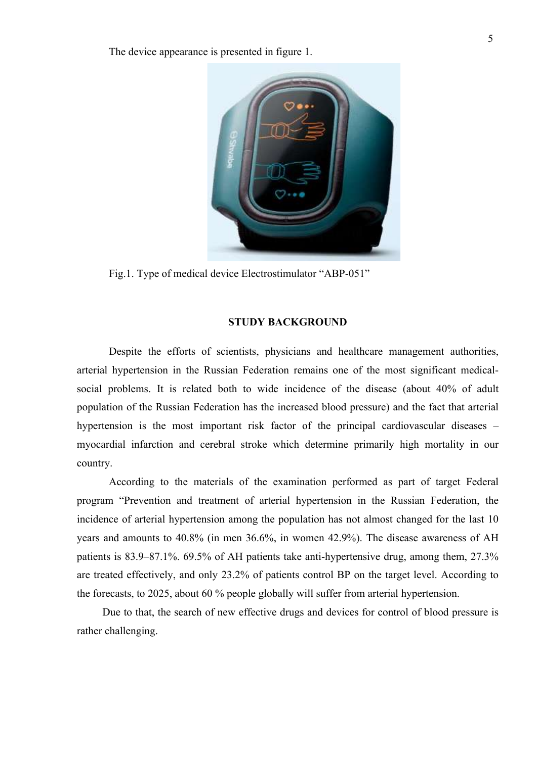The device appearance is presented in figure 1.



Fig.1. Type of medical device Electrostimulator "АВР-051"

### **STUDY BACKGROUND**

Despite the efforts of scientists, physicians and healthcare management authorities, arterial hypertension in the Russian Federation remains one of the most significant medicalsocial problems. It is related both to wide incidence of the disease (about 40% of adult population of the Russian Federation has the increased blood pressure) and the fact that arterial hypertension is the most important risk factor of the principal cardiovascular diseases – myocardial infarction and cerebral stroke which determine primarily high mortality in our country.

According to the materials of the examination performed as part of target Federal program "Prevention and treatment of arterial hypertension in the Russian Federation, the incidence of arterial hypertension among the population has not almost changed for the last 10 years and amounts to 40.8% (in men 36.6%, in women 42.9%). The disease awareness of AH patients is 83.9–87.1%. 69.5% of AH patients take anti-hypertensive drug, among them, 27.3% are treated effectively, and only 23.2% of patients control BP on the target level. According to the forecasts, to 2025, about 60 % people globally will suffer frоm arterial hypertension.

Due to that, the search of new effective drugs and devices for control of blood pressure is rather challenging.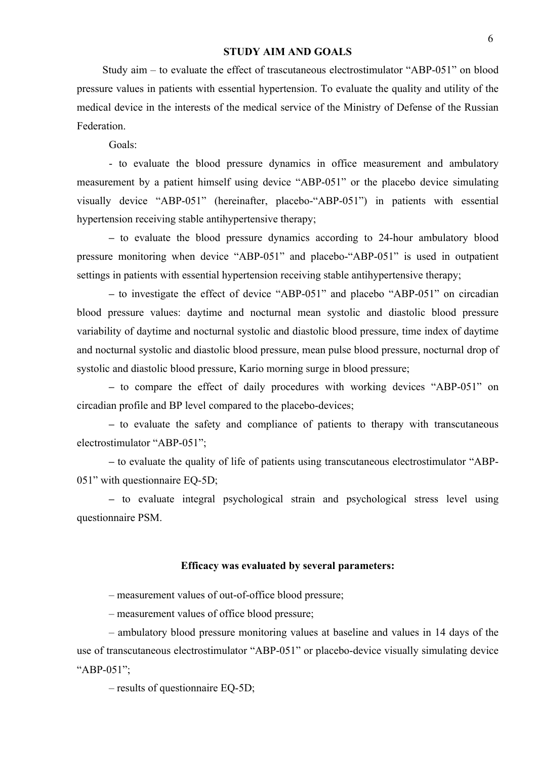#### **STUDY AIM AND GOALS**

Study aim – to evaluate the effect of trascutaneous electrostimulator "АВР-051" on blood pressure values in patients with essential hypertension. To evaluate the quality and utility of the medical device in the interests of the medical service of the Ministry of Defense of the Russian Federation.

Goals:

- to evaluate the blood pressure dynamics in office measurement and ambulatory measurement by a patient himself using device "АВР-051" or the placebo device simulating visually device "АВР-051" (hereinafter, placebo-"АВР-051") in patients with essential hypertension receiving stable antihypertensive therapy;

**–** to evaluate the blood pressure dynamics according to 24-hour ambulatory blood pressure monitoring when device "АВР-051" and placebo-"АВР-051" is used in outpatient settings in patients with essential hypertension receiving stable antihypertensive therapy;

**–** to investigate the effect of device "АВР-051" and placebo "АВР-051" on circadian blood pressure values: daytime and nocturnal mean systolic and diastolic blood pressure variability of daytime and nocturnal systolic and diastolic blood pressure, time index of daytime and nocturnal systolic and diastolic blood pressure, mean pulse blood pressure, nocturnal drop of systolic and diastolic blood pressure, Kario morning surge in blood pressure;

**–** to compare the effect of daily procedures with working devices "АВР-051" on circadian profile and BP level compared to the placebo-devices;

**–** to evaluate the safety and compliance of patients to therapy with transcutaneous electrostimulator "АВР-051";

**–** to evaluate the quality of life of patients using transcutaneous electrostimulator "АВР-051" with questionnaire EQ-5D;

**–** to evaluate integral psychological strain and psychological stress level using questionnaire PSM.

# **Efficacy was evaluated by several parameters:**

– measurement values of out-of-office blood pressure;

– measurement values of office blood pressure;

– ambulatory blood pressure monitoring values at baseline and values in 14 days of the use of transcutaneous electrostimulator "АВР-051" or placebo-device visually simulating device "АВР-051";

– results of questionnaire EQ-5D;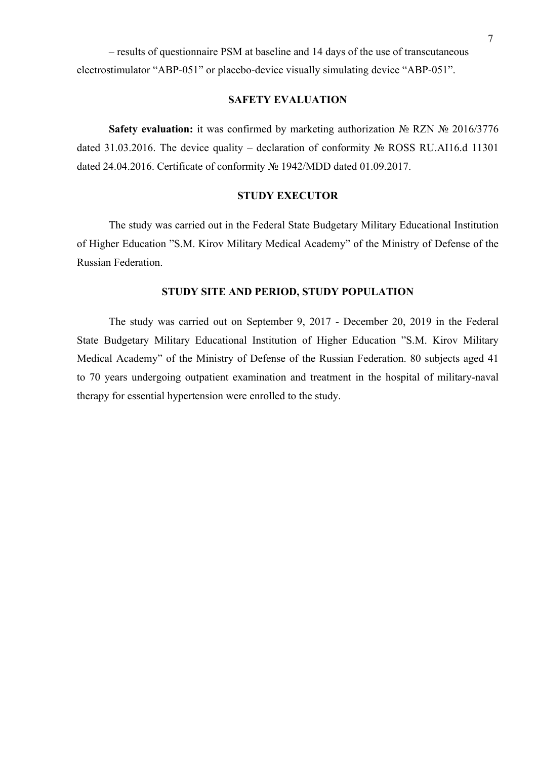– results of questionnaire PSM at baseline and 14 days of the use of transcutaneous electrostimulator "АВР-051" or placebo-device visually simulating device "АВР-051".

# **SAFETY EVALUATION**

**Safety evaluation:** it was confirmed by marketing authorization № RZN № 2016/3776 dated 31.03.2016. The device quality – declaration of conformity № ROSS RU.AI16.d 11301 dated 24.04.2016. Certificate of conformity № 1942/MDD dated 01.09.2017.

# **STUDY EXECUTOR**

The study was carried out in the Federal State Budgetary Military Educational Institution of Higher Education "S.M. Kirov Military Medical Academy" of the Ministry of Defense of the Russian Federation.

# **STUDY SITE AND PERIOD, STUDY POPULATION**

The study was carried out on September 9, 2017 - December 20, 2019 in the Federal State Budgetary Military Educational Institution of Higher Education "S.M. Kirov Military Medical Academy" of the Ministry of Defense of the Russian Federation. 80 subjects aged 41 to 70 years undergoing outpatient examination and treatment in the hospital of military-naval therapy for essential hypertension were enrolled to the study.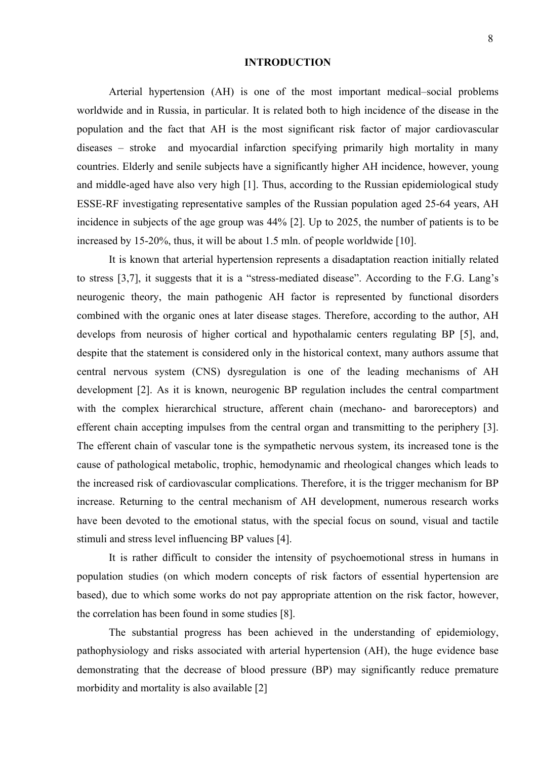#### **INTRODUCTION**

Arterial hypertension (AH) is one of the most important medical–social problems worldwide and in Russia, in particular. It is related both to high incidence of the disease in the population and the fact that AH is the most significant risk factor of major cardiovascular diseases – stroke and myocardial infarction specifying primarily high mortality in many countries. Elderly and senile subjects have a significantly higher AH incidence, however, young and middle-aged have also very high [1]. Thus, according to the Russian epidemiological study ESSE-RF investigating representative samples of the Russian population aged 25-64 years, AH incidence in subjects of the age group was 44% [2]. Up to 2025, the number of patients is to be increased by 15-20%, thus, it will be about 1.5 mln. of people worldwide [10].

It is known that arterial hypertension represents a disadaptation reaction initially related to stress [3,7], it suggests that it is a "stress-mediated disease". According to the F.G. Lang's neurogenic theory, the main pathogenic AH factor is represented by functional disorders combined with the organic ones at later disease stages. Therefore, according to the author, AH develops from neurosis of higher cortical and hypothalamic centers regulating BP [5], and, despite that the statement is considered only in the historical context, many authors assume that central nervous system (CNS) dysregulation is one of the leading mechanisms of AH development [2]. As it is known, neurogenic BP regulation includes the central compartment with the complex hierarchical structure, afferent chain (mechano- and baroreceptors) and efferent chain accepting impulses from the central organ and transmitting to the periphery [3]. The efferent chain of vascular tone is the sympathetic nervous system, its increased tone is the cause of pathological metabolic, trophic, hemodynamic and rheological changes which leads to the increased risk of cardiovascular complications. Therefore, it is the trigger mechanism for BP increase. Returning to the central mechanism of AH development, numerous research works have been devoted to the emotional status, with the special focus on sound, visual and tactile stimuli and stress level influencing BP values [4].

It is rather difficult to consider the intensity of psychoemotional stress in humans in population studies (on which modern concepts of risk factors of essential hypertension are based), due to which some works do not pay appropriate attention on the risk factor, however, the correlation has been found in some studies [8].

The substantial progress has been achieved in the understanding of epidemiology, pathophysiology and risks associated with arterial hypertension (AH), the huge evidence base demonstrating that the decrease of blood pressure (BP) may significantly reduce premature morbidity and mortality is also available [2]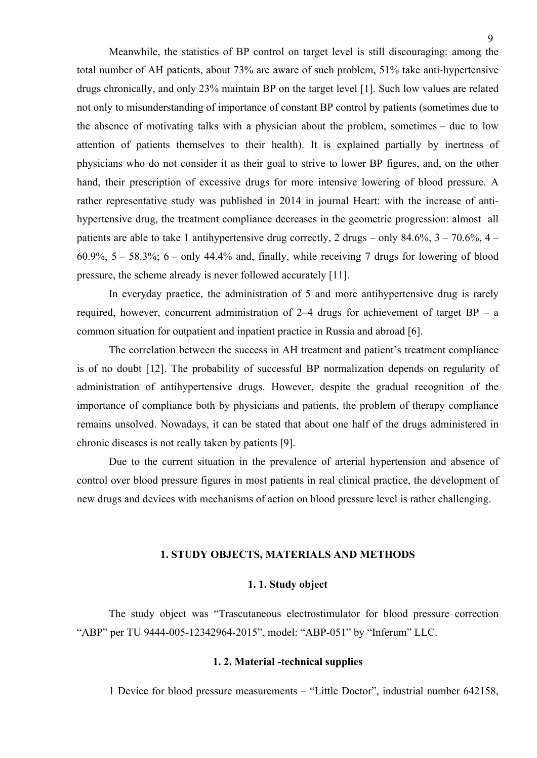Meanwhile, the statistics of BP control on target level is still discouraging: among thе total number of AH patients, about 73% are aware of such problem, 51% take anti-hypertensive drugs chronically, and only 23% maintain BP on the target level [1]. Such low values are related not only to misunderstanding of importance of constant BP control by patients (sometimes due to the absence of motivating talks with a physician about the problem, sometimes – due to low

attention of patients themselves to their health). It is explained partially by inertness of physicians who do not consider it as their goal to strive to lower BP figures, and, on the other hand, their prescription of excessive drugs for more intensive lowering of blood pressure. A rather representative study was published in 2014 in journal Heart: with the increase of antihypertensive drug, the treatment compliance decreases in the geometric progression: almost all patients are able to take 1 antihypertensive drug correctly, 2 drugs – only  $84.6\%$ ,  $3 - 70.6\%$ ,  $4 60.9\%$ ,  $5 - 58.3\%$ ;  $6 -$  only 44.4% and, finally, while receiving 7 drugs for lowering of blood pressure, the scheme already is never followed accurately [11].

In everyday practice, the administration of 5 and more antihypertensive drug is rarely required, however, concurrent administration of  $2-4$  drugs for achievement of target BP – a common situation for outpatient and inpatient practice in Russia and abroad [6].

The correlation between the success in AH treatment and patient's treatment compliance is of no doubt [12]. The probability of successful BP normalization depends on regularity of administration of antihypertensive drugs. However, despite the gradual recognition of the importance of compliance both by physicians and patients, the problem of therapy compliance remains unsolved. Nowadays, it can be stated that about one half of the drugs administered in chronic diseases is not really taken by patients [9].

Due to the current situation in the prevalence of arterial hypertension and absence of control over blood pressure figures in most patients in real clinical practice, the development of new drugs and devices with mechanisms of action on blood pressure level is rather challenging.

#### **1. STUDY OBJECTS, MATERIALS AND METHODS**

#### **1. 1. Study object**

The study object was "Trascutaneous electrostimulator for blood pressure correction "АВР" per TU 9444-005-12342964-2015", model: "АВР-051" by "Inferum" LLC.

# **1. 2. Material -technical supplies**

1 Device for blood pressure measurements – "Little Doctor", industrial number 642158,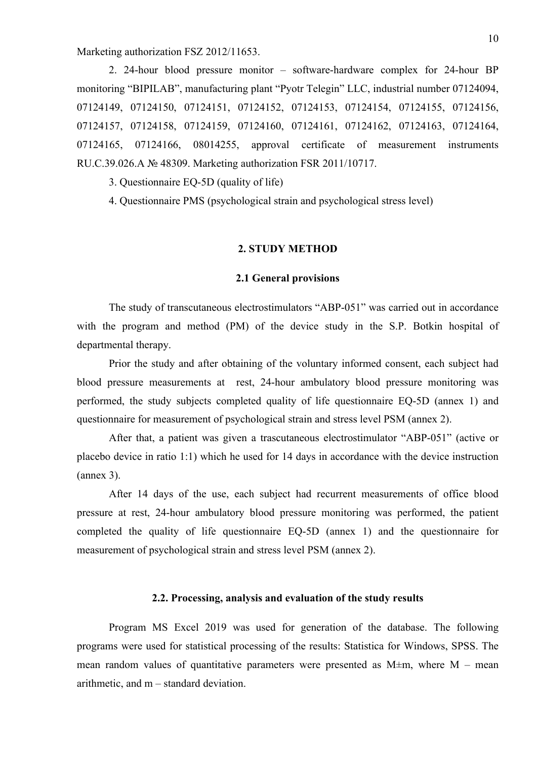Marketing authorization FSZ 2012/11653.

2. 24-hour blood pressure monitor – software-hardware complex for 24-hour BP monitoring "BIPILAB", manufacturing plant "Pyotr Telegin" LLC, industrial number 07124094, 07124149, 07124150, 07124151, 07124152, 07124153, 07124154, 07124155, 07124156, 07124157, 07124158, 07124159, 07124160, 07124161, 07124162, 07124163, 07124164, 07124165, 07124166, 08014255, approval certificate of measurement instruments RU.C.39.026.A № 48309. Marketing authorization FSR 2011/10717.

3. Questionnaire EQ-5D (quality of life)

4. Questionnaire PMS (psychological strain and psychological stress level)

#### **2. STUDY METHOD**

#### **2.1 General provisions**

The study of transcutaneous electrostimulators "ABP-051" was carried out in accordance with the program and method (PM) of the device study in the S.P. Botkin hospital of departmental therapy.

Prior the study and after obtaining of the voluntary informed consent, each subject had blood pressure measurements at rest, 24-hour ambulatory blood pressure monitoring was performed, the study subjects completed quality of life questionnaire EQ-5D (annex 1) and questionnaire for measurement of psychological strain and stress level PSM (annex 2).

After that, a patient was given a trascutaneous electrostimulator "АВР-051" (active or placebo device in ratio 1:1) which he used for 14 days in accordance with the device instruction (annex 3).

After 14 days of the use, each subject had recurrent measurements of office blood pressure at rest, 24-hour ambulatory blood pressure monitoring was performed, the patient completed the quality of life questionnaire EQ-5D (annex 1) and the questionnaire for measurement of psychological strain and stress level PSM (annex 2).

# **2.2. Processing, analysis and evaluation of the study results**

Program MS Excel 2019 was used for generation of the database. The following programs were used for statistical processing of the results: Statistica for Windows, SPSS. The mean random values of quantitative parameters were presented as  $M \pm m$ , where  $M -$  mean arithmetic, and m – standard deviation.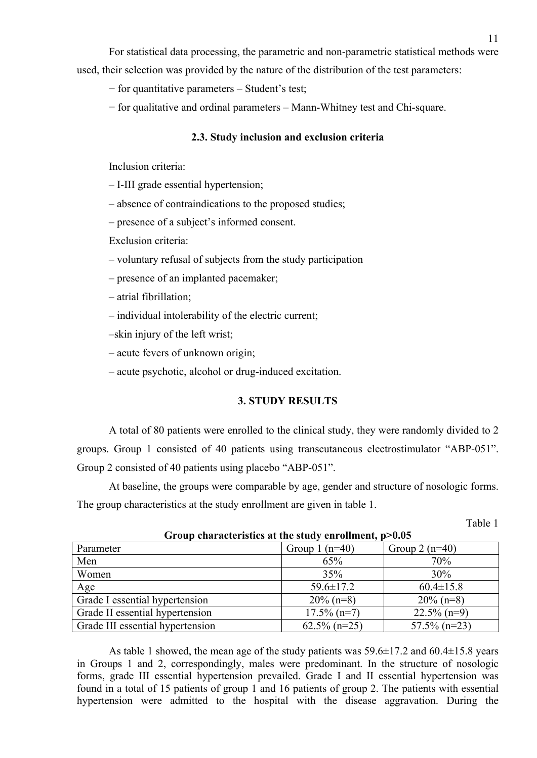For statistical data processing, the parametric and non-parametric statistical methods were used, their selection was provided by the nature of the distribution of the test parameters:

− for quantitative parameters – Student's test;

− for qualitative and ordinal parameters – Mann-Whitney test and Chi-square.

#### **2.3. Study inclusion and exclusion criteria**

Inclusion criteria:

– I-III grade essential hypertension;

– absence of contraindications to the proposed studies;

– presence of a subject's informed consent.

Exclusion criteria:

- voluntary refusal of subjects from the study participation
- presence of an implanted pacemaker;
- atrial fibrillation;
- individual intolerability of the electric current;

–skin injury of the left wrist;

– acute fevers of unknown origin;

– acute psychotic, alcohol or drug-induced excitation.

# **3. STUDY RESULTS**

A total of 80 patients were enrolled to the clinical study, they were randomly divided to 2 groups. Group 1 consisted of 40 patients using transcutaneous electrostimulator "АВР-051". Group 2 consisted of 40 patients using placebo "ABP-051".

At baseline, the groups were comparable by age, gender and structure of nosologic forms. The group characteristics at the study enrollment are given in table 1.

Table 1

| Parameter                        | Group 1 $(n=40)$ | Group 2 $(n=40)$ |
|----------------------------------|------------------|------------------|
| Men                              | 65%              | 70%              |
| Women                            | 35%              | 30%              |
| Age                              | $59.6 \pm 17.2$  | $60.4 \pm 15.8$  |
| Grade I essential hypertension   | $20\%$ (n=8)     | $20\%$ (n=8)     |
| Grade II essential hypertension  | $17.5\%$ (n=7)   | $22.5\%$ (n=9)   |
| Grade III essential hypertension | $62.5\%$ (n=25)  | $57.5\%$ (n=23)  |

**Group characteristics at the study enrollment, p>0.05**

As table 1 showed, the mean age of the study patients was  $59.6\pm 17.2$  and  $60.4\pm 15.8$  years in Groups 1 and 2, correspondingly, males were predominant. In the structure of nosologic forms, grade III essential hypertension prevailed. Grade I and II essential hypertension was found in a total of 15 patients of group 1 and 16 patients of group 2. The patients with essential hypertension were admitted to the hospital with the disease aggravation. During the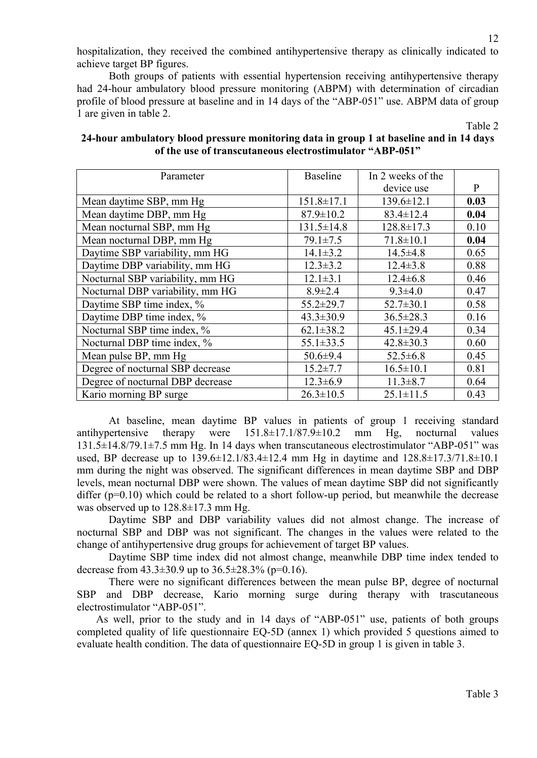hospitalization, they received the combined antihypertensive therapy as clinically indicated to achieve target BP figures.

Both groups of patients with essential hypertension receiving antihypertensive therapy had 24-hour ambulatory blood pressure monitoring (ABPM) with determination of circadian profile of blood pressure at baseline and in 14 days of the "АВР-051" use. ABPM data of group 1 are given in table 2.

Table 2

# **24-hour ambulatory blood pressure monitoring data in group 1 at baseline and in 14 days of the use of transcutaneous electrostimulator "АВР-051"**

| Parameter                        | <b>Baseline</b>  | In 2 weeks of the |      |
|----------------------------------|------------------|-------------------|------|
|                                  |                  | device use        | P    |
| Mean daytime SBP, mm Hg          | $151.8 \pm 17.1$ | $139.6 \pm 12.1$  | 0.03 |
| Mean daytime DBP, mm Hg          | $87.9 \pm 10.2$  | $83.4 \pm 12.4$   | 0.04 |
| Mean nocturnal SBP, mm Hg        | $131.5 \pm 14.8$ | $128.8 \pm 17.3$  | 0.10 |
| Mean nocturnal DBP, mm Hg        | $79.1 \pm 7.5$   | $71.8 \pm 10.1$   | 0.04 |
| Daytime SBP variability, mm HG   | $14.1 \pm 3.2$   | $14.5 \pm 4.8$    | 0.65 |
| Daytime DBP variability, mm HG   | $12.3 \pm 3.2$   | $12.4 \pm 3.8$    | 0.88 |
| Nocturnal SBP variability, mm HG | $12.1 \pm 3.1$   | $12.4 \pm 6.8$    | 0.46 |
| Nocturnal DBP variability, mm HG | $8.9 \pm 2.4$    | $9.3 \pm 4.0$     | 0.47 |
| Daytime SBP time index, %        | $55.2 \pm 29.7$  | $52.7 \pm 30.1$   | 0.58 |
| Daytime DBP time index, %        | $43.3 \pm 30.9$  | $36.5 \pm 28.3$   | 0.16 |
| Nocturnal SBP time index, %      | $62.1 \pm 38.2$  | $45.1 \pm 29.4$   | 0.34 |
| Nocturnal DBP time index, %      | $55.1 \pm 33.5$  | $42.8 \pm 30.3$   | 0.60 |
| Mean pulse BP, mm Hg             | $50.6 \pm 9.4$   | $52.5 \pm 6.8$    | 0.45 |
| Degree of nocturnal SBP decrease | $15.2 \pm 7.7$   | $16.5 \pm 10.1$   | 0.81 |
| Degree of nocturnal DBP decrease | $12.3 \pm 6.9$   | $11.3 \pm 8.7$    | 0.64 |
| Kario morning BP surge           | $26.3 \pm 10.5$  | $25.1 \pm 11.5$   | 0.43 |

At baseline, mean daytime BP values in patients of group 1 receiving standard antihypertensive therapy were  $151.8 \pm 17.1/87.9 \pm 10.2$  mm Hg, nocturnal values 131.5±14.8/79.1±7.5 mm Hg. In 14 days when transcutaneous electrostimulator "АВР-051" was used, BP decrease up to  $139.6 \pm 12.1/83.4 \pm 12.4$  mm Hg in daytime and  $128.8 \pm 17.3/71.8 \pm 10.1$ mm during the night was observed. The significant differences in mean daytime SBP and DBP levels, mean nocturnal DBP were shown. The values of mean daytime SBP did not significantly differ  $(p=0.10)$  which could be related to a short follow-up period, but meanwhile the decrease was observed up to 128.8±17.3 mm Hg.

Daytime SBP and DBP variability values did not almost change. The increase of nocturnal SBP and DBP was not significant. The changes in the values were related to the change of antihypertensive drug groups for achievement of target BP values.

Daytime SBP time index did not almost change, meanwhile DBP time index tended to decrease from  $43.3 \pm 30.9$  up to  $36.5 \pm 28.3\%$  (p=0.16).

There were no significant differences between the mean pulse BP, degree of nocturnal SBP and DBP decrease, Kario morning surge during therapy with trascutaneous electrostimulator "АВР-051".

As well, prior to the study and in 14 days of "АВР-051" use, patients of both groups completed quality of life questionnaire EQ-5D (annex 1) which provided 5 questions aimed to evaluate health condition. The data of questionnaire EQ-5D in group 1 is given in table 3.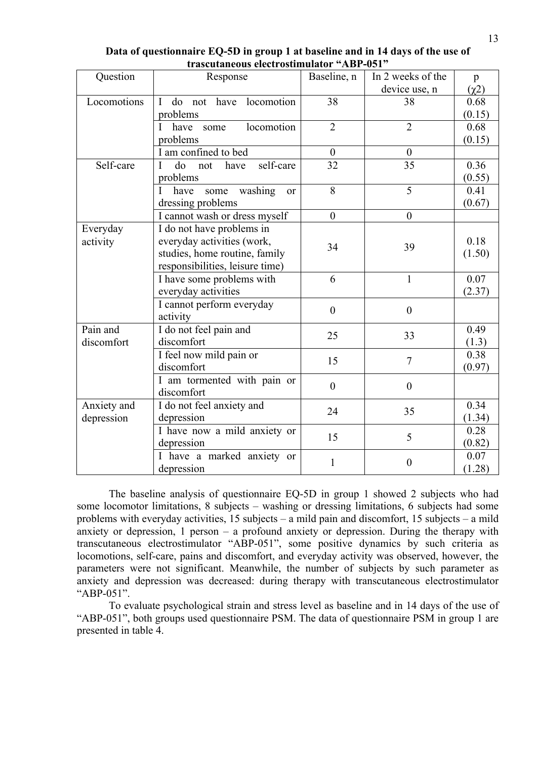| Question    | Baseline, n<br>Response                                                    |                  | In 2 weeks of the | p          |
|-------------|----------------------------------------------------------------------------|------------------|-------------------|------------|
|             |                                                                            |                  | device use, n     | $(\chi^2)$ |
| Locomotions | do<br>have locomotion<br>$\mathbf{I}$<br>not                               | 38               | 38                | 0.68       |
|             | problems                                                                   |                  |                   | (0.15)     |
|             | locomotion<br>have<br>L<br>some                                            | $\overline{2}$   | $\overline{2}$    | 0.68       |
|             | problems                                                                   |                  |                   | (0.15)     |
|             | I am confined to bed                                                       | $\overline{0}$   | $\theta$          |            |
| Self-care   | self-care<br>do<br>have<br>not<br>L                                        | 32               | 35                | 0.36       |
|             | problems                                                                   |                  |                   | (0.55)     |
|             | washing<br>have<br>some<br><sub>or</sub>                                   | 8                | $\overline{5}$    | 0.41       |
|             | dressing problems                                                          |                  |                   | (0.67)     |
|             | I cannot wash or dress myself                                              | $\overline{0}$   | $\theta$          |            |
| Everyday    | I do not have problems in                                                  |                  |                   |            |
| activity    | everyday activities (work,                                                 | 34               | 39                | 0.18       |
|             | studies, home routine, family                                              |                  |                   | (1.50)     |
|             | responsibilities, leisure time)                                            |                  |                   |            |
|             | I have some problems with                                                  | 6                | $\mathbf{1}$      | 0.07       |
|             | everyday activities                                                        |                  |                   | (2.37)     |
|             | I cannot perform everyday                                                  | $\boldsymbol{0}$ | $\overline{0}$    |            |
|             | activity                                                                   |                  |                   |            |
| Pain and    | I do not feel pain and                                                     | 25               | 33                | 0.49       |
| discomfort  | discomfort                                                                 |                  |                   | (1.3)      |
|             | I feel now mild pain or                                                    | 15               | $\tau$            | 0.38       |
|             | discomfort                                                                 |                  |                   | (0.97)     |
|             | I am tormented with pain or                                                | $\boldsymbol{0}$ | $\boldsymbol{0}$  |            |
|             | discomfort                                                                 |                  |                   |            |
|             | Anxiety and<br>I do not feel anxiety and<br>24<br>depression<br>depression |                  | 35                | 0.34       |
|             |                                                                            |                  |                   | (1.34)     |
|             | I have now a mild anxiety or                                               | 15               | 5                 | 0.28       |
|             | depression                                                                 |                  |                   | (0.82)     |
|             | I have a marked anxiety or                                                 | 1                | $\overline{0}$    | 0.07       |
|             | depression                                                                 |                  |                   | (1.28)     |

**Data of questionnaire EQ-5D in group 1 at baseline and in 14 days of the use of trascutaneous electrostimulator "АВР-051"**

The baseline analysis of questionnaire EQ-5D in group 1 showed 2 subjects who had some locomotor limitations, 8 subjects – washing or dressing limitations, 6 subjects had some problems with everyday activities, 15 subjects – a mild pain and discomfort, 15 subjects – a mild anxiety or depression, 1 person – a profound anxiety or depression. During the therapy with transcutaneous electrostimulator "АВР-051", some positive dynamics by such criteria as locomotions, self-care, pains and discomfort, and everyday activity was observed, however, the parameters were not significant. Meanwhile, the number of subjects by such parameter as anxiety and depression was decreased: during therapy with transcutaneous electrostimulator "АВР-051".

To evaluate psychological strain and stress level as baseline and in 14 days of the use of "АВР-051", both groups used questionnaire PSM. The data of questionnaire PSM in group 1 are presented in table 4.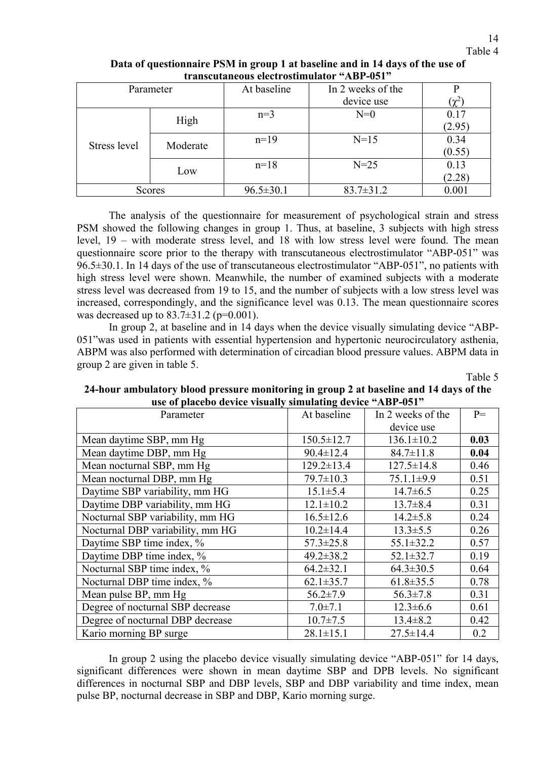| Parameter    |          | At baseline     | In 2 weeks of the |              |
|--------------|----------|-----------------|-------------------|--------------|
|              |          |                 | device use        | $(\gamma^2)$ |
|              |          | $n=3$           | $N=0$             | 0.17         |
|              | High     |                 |                   | (2.95)       |
| Stress level | Moderate | $n=19$          | $N=15$            | 0.34         |
|              |          |                 |                   | (0.55)       |
|              |          | $n=18$          | $N=25$            | 0.13         |
|              | Low      |                 |                   | (2.28)       |
| Scores       |          | $96.5 \pm 30.1$ | $83.7 \pm 31.2$   | $0.001\,$    |

**Data of questionnaire PSM in group 1 at baseline and in 14 days of the use of transcutaneous electrostimulator "АВР-051"**

The analysis of the questionnaire for measurement of psychological strain and stress PSM showed the following changes in group 1. Thus, at baseline, 3 subjects with high stress level, 19 – with moderate stress level, and 18 with low stress level were found. The mean questionnaire score prior to the therapy with transcutaneous electrostimulator "АВР-051" was 96.5±30.1. In 14 days of the use of transcutaneous electrostimulator "АВР-051", no patients with high stress level were shown. Meanwhile, the number of examined subjects with a moderate stress level was decreased from 19 to 15, and the number of subjects with a low stress level was increased, correspondingly, and the significance level was 0.13. The mean questionnaire scores was decreased up to  $83.7 \pm 31.2$  (p=0.001).

In group 2, at baseline and in 14 days when the device visually simulating device "ABP-051"was used in patients with essential hypertension and hypertonic neurocirculatory asthenia, ABPM was also performed with determination of circadian blood pressure values. ABPM data in group 2 are given in table 5.

Table 5

| use of placebo device visually simulating device. ADI-031 |                  |                   |      |  |  |
|-----------------------------------------------------------|------------------|-------------------|------|--|--|
| Parameter                                                 | At baseline      | In 2 weeks of the | $P=$ |  |  |
|                                                           |                  | device use        |      |  |  |
| Mean daytime SBP, mm Hg                                   | $150.5 \pm 12.7$ | $136.1 \pm 10.2$  | 0.03 |  |  |
| Mean daytime DBP, mm Hg                                   | $90.4 \pm 12.4$  | $84.7 \pm 11.8$   | 0.04 |  |  |
| Mean nocturnal SBP, mm Hg                                 | $129.2 \pm 13.4$ | $127.5 \pm 14.8$  | 0.46 |  |  |
| Mean nocturnal DBP, mm Hg                                 | $79.7 \pm 10.3$  | $75.1.1 \pm 9.9$  | 0.51 |  |  |
| Daytime SBP variability, mm HG                            | $15.1 \pm 5.4$   | $14.7 \pm 6.5$    | 0.25 |  |  |
| Daytime DBP variability, mm HG                            | $12.1 \pm 10.2$  | $13.7 \pm 8.4$    | 0.31 |  |  |
| Nocturnal SBP variability, mm HG                          | $16.5 \pm 12.6$  | $14.2 \pm 5.8$    | 0.24 |  |  |
| Nocturnal DBP variability, mm HG                          | $10.2 \pm 14.4$  | $13.3 \pm 5.5$    | 0.26 |  |  |
| Daytime SBP time index, %                                 | $57.3 \pm 25.8$  | $55.1 \pm 32.2$   | 0.57 |  |  |
| Daytime DBP time index, %                                 | $49.2 \pm 38.2$  | $52.1 \pm 32.7$   | 0.19 |  |  |
| Nocturnal SBP time index, %                               | $64.2 \pm 32.1$  | $64.3 \pm 30.5$   | 0.64 |  |  |
| Nocturnal DBP time index, %                               | $62.1 \pm 35.7$  | $61.8 \pm 35.5$   | 0.78 |  |  |
| Mean pulse BP, mm Hg                                      | $56.2 \pm 7.9$   | $56.3 \pm 7.8$    | 0.31 |  |  |
| Degree of nocturnal SBP decrease                          | $7.0 \pm 7.1$    | $12.3 \pm 6.6$    | 0.61 |  |  |
| Degree of nocturnal DBP decrease                          | $10.7 \pm 7.5$   | $13.4 \pm 8.2$    | 0.42 |  |  |
| Kario morning BP surge                                    | $28.1 \pm 15.1$  | $27.5 \pm 14.4$   | 0.2  |  |  |

**24-hour ambulatory blood pressure monitoring in group 2 at baseline and 14 days of the use of placebo device visually simulating device "АВР-051"**

In group 2 using the placebo device visually simulating device "АВР-051" for 14 days, significant differences were shown in mean daytime SBP and DPB levels. No significant differences in nocturnal SBP and DBP levels, SBP and DBP variability and time index, mean pulse BP, nocturnal decrease in SBP and DBP, Kario morning surge.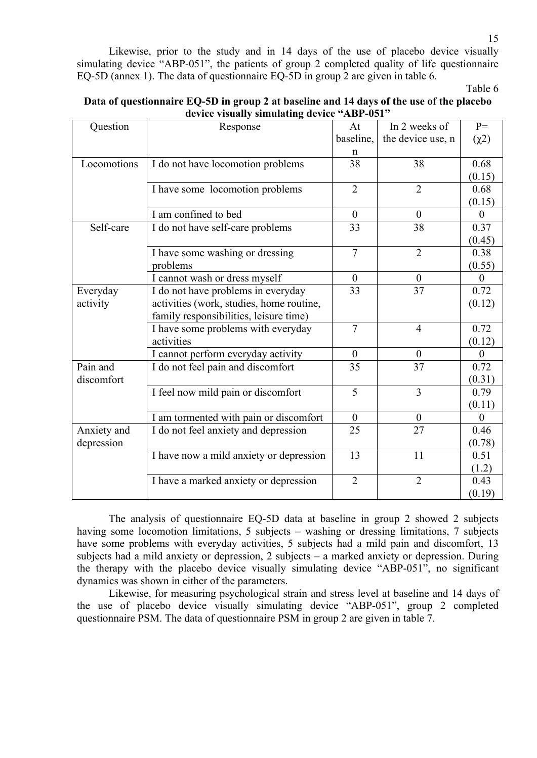Likewise, prior to the study and in 14 days of the use of placebo device visually simulating device "АВР-051", the patients of group 2 completed quality of life questionnaire EQ-5D (annex 1). The data of questionnaire EQ-5D in group 2 are given in table 6.

Table 6

| Question    | Response                                 | At               | In 2 weeks of     | $P=$             |
|-------------|------------------------------------------|------------------|-------------------|------------------|
|             |                                          | baseline,        | the device use, n | $(\chi^2)$       |
|             |                                          | n                |                   |                  |
| Locomotions | I do not have locomotion problems        | 38               | 38                | 0.68             |
|             |                                          |                  |                   | (0.15)           |
|             | I have some locomotion problems          | $\overline{2}$   | $\overline{2}$    | 0.68             |
|             |                                          |                  |                   | (0.15)           |
|             | I am confined to bed                     | $\boldsymbol{0}$ | $\boldsymbol{0}$  | $\boldsymbol{0}$ |
| Self-care   | I do not have self-care problems         | 33               | 38                | 0.37             |
|             |                                          |                  |                   | (0.45)           |
|             | I have some washing or dressing          | $\overline{7}$   | $\overline{2}$    | 0.38             |
|             | problems                                 |                  |                   | (0.55)           |
|             | I cannot wash or dress myself            | $\theta$         | $\overline{0}$    | $\theta$         |
| Everyday    | I do not have problems in everyday       | 33               | 37                | 0.72             |
| activity    | activities (work, studies, home routine, |                  |                   | (0.12)           |
|             | family responsibilities, leisure time)   |                  |                   |                  |
|             | I have some problems with everyday       | $\overline{7}$   | $\overline{4}$    | 0.72             |
|             | activities                               |                  |                   | (0.12)           |
|             | I cannot perform everyday activity       | $\theta$         | $\boldsymbol{0}$  | $\boldsymbol{0}$ |
| Pain and    | I do not feel pain and discomfort        | 35               | 37                | 0.72             |
| discomfort  |                                          |                  |                   | (0.31)           |
|             | I feel now mild pain or discomfort       | 5                | 3                 | 0.79             |
|             |                                          |                  |                   | (0.11)           |
|             | I am tormented with pain or discomfort   | $\theta$         | $\theta$          | $\mathbf{0}$     |
| Anxiety and | I do not feel anxiety and depression     | 25               | 27                | 0.46             |
| depression  |                                          |                  |                   | (0.78)           |
|             | I have now a mild anxiety or depression  | 13               | 11                | 0.51             |
|             |                                          |                  |                   | (1.2)            |
|             | I have a marked anxiety or depression    | $\overline{2}$   | $\overline{2}$    | 0.43             |
|             |                                          |                  |                   | (0.19)           |

| Data of questionnaire EQ-5D in group 2 at baseline and 14 days of the use of the placebo |
|------------------------------------------------------------------------------------------|
| device visually simulating device "ABP-051"                                              |

The analysis of questionnaire EQ-5D data at baseline in group 2 showed 2 subjects having some locomotion limitations, 5 subjects – washing or dressing limitations, 7 subjects have some problems with everyday activities, 5 subjects had a mild pain and discomfort, 13 subjects had a mild anxiety or depression, 2 subjects – a marked anxiety or depression. During the therapy with the placebo device visually simulating device "АВР-051", no significant dynamics was shown in either of the parameters.

Likewise, for measuring psychological strain and stress level at baseline and 14 days of the use of placebo device visually simulating device "АВР-051", group 2 completed questionnaire PSM. The data of questionnaire PSM in group 2 are given in table 7.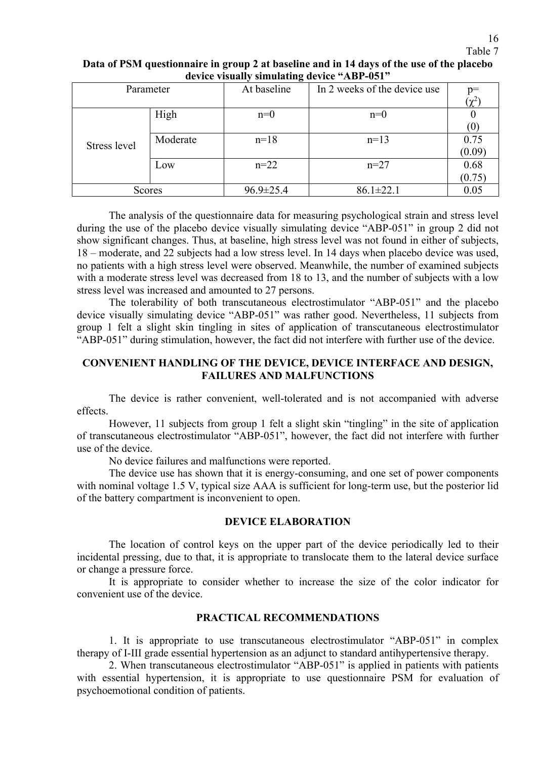#### 16 Table 7

# **Data of PSM questionnaire in group 2 at baseline and in 14 days of the use of the placebo device visually simulating device "АВР-051"**

| Parameter     |          | $\epsilon$<br>At baseline | In 2 weeks of the device use | $p=$       |
|---------------|----------|---------------------------|------------------------------|------------|
|               |          |                           |                              | $(\chi^2)$ |
|               | High     | $n=0$                     | $n=0$                        |            |
|               |          |                           |                              | (0)        |
| Stress level  | Moderate | $n=18$                    | $n=13$                       | 0.75       |
|               |          |                           |                              | (0.09)     |
|               | Low      | $n=22$                    | $n=27$                       | 0.68       |
|               |          |                           |                              | (0.75)     |
| <b>Scores</b> |          | $96.9 \pm 25.4$           | $86.1 \pm 22.1$              | 0.05       |

The analysis of the questionnaire data for measuring psychological strain and stress level during the use of the placebo device visually simulating device "АВР-051" in group 2 did not show significant changes. Thus, at baseline, high stress level was not found in either of subjects, 18 – moderate, and 22 subjects had a low stress level. In 14 days when placebo device was used, no patients with a high stress level were observed. Meanwhile, the number of examined subjects with a moderate stress level was decreased from 18 to 13, and the number of subjects with a low stress level was increased and amounted to 27 persons.

The tolerability of both transcutaneous electrostimulator "ABP-051" and the placebo device visually simulating device "АВР-051" was rather good. Nevertheless, 11 subjects from group 1 felt a slight skin tingling in sites of application of transcutaneous electrostimulator "AВР-051" during stimulation, however, the fact did not interfere with further use of the device.

# **CONVENIENT HANDLING OF THE DEVICE, DEVICE INTERFACE AND DESIGN, FAILURES AND MALFUNCTIONS**

The device is rather convenient, well-tolerated and is not accompanied with adverse effects.

However, 11 subjects from group 1 felt a slight skin "tingling" in the site of application of transcutaneous electrostimulator "АВР-051", however, the fact did not interfere with further use of the device.

No device failures and malfunctions were reported.

The device use has shown that it is energy-consuming, and one set of power components with nominal voltage 1.5 V, typical size AAA is sufficient for long-term use, but the posterior lid of the battery compartment is inconvenient to open.

# **DEVICE ELABORATION**

The location of control keys on the upper part of the device periodically led to their incidental pressing, due to that, it is appropriate to translocate them to the lateral device surface or change a pressure force.

It is appropriate to consider whether to increase the size of the color indicator for convenient use of the device.

# **PRACTICAL RECOMMENDATIONS**

1. It is appropriate to use transcutaneous electrostimulator "АВР-051" in complex therapy of I-III grade essential hypertension as an adjunct to standard antihypertensive therapy.

2. When transcutaneous electrostimulator "АВР-051" is applied in patients with patients with essential hypertension, it is appropriate to use questionnaire PSM for evaluation of psychoemotional condition of patients.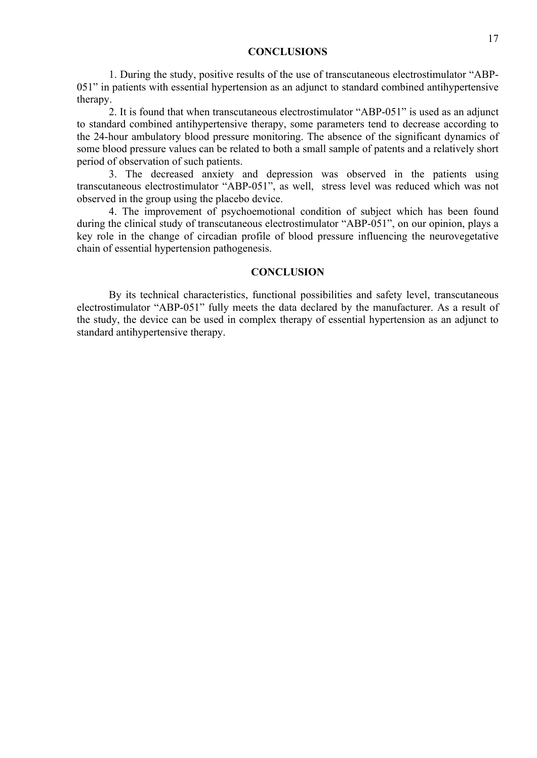#### **CONCLUSIONS**

1. During the study, positive results of the use of transcutaneous electrostimulator "АВР-051" in patients with essential hypertension as an adjunct to standard combined antihypertensive therapy.

2. It is found that when transcutaneous electrostimulator "АВР-051" is used as an adjunct to standard combined antihypertensive therapy, some parameters tend to decrease according to the 24-hour ambulatory blood pressure monitoring. The absence of the significant dynamics of some blood pressure values can be related to both a small sample of patents and a relatively short period of observation of such patients.

3. The decreased anxiety and depression was observed in the patients using transcutaneous electrostimulator "АВР-051", as well, stress level was reduced which was not observed in the group using the placebo device.

4. The improvement of psychoemotional condition of subject which has been found during the clinical study of transcutaneous electrostimulator "АВР-051", on our opinion, plays a key role in the change of circadian profile of blood pressure influencing the neurovegetative chain of essential hypertension pathogenesis.

#### **CONCLUSION**

By its technical characteristics, functional possibilities and safety level, transcutaneous electrostimulator "АВР-051" fully meets the data declared by the manufacturer. As a result of the study, the device can be used in complex therapy of essential hypertension as an adjunct to standard antihypertensive therapy.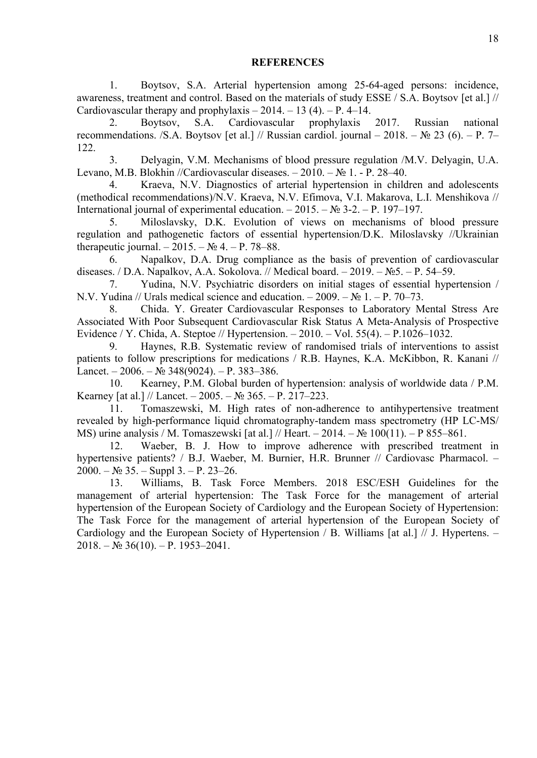#### **REFERENCES**

1. Boytsov, S.A. Arterial hypertension among 25-64-aged persons: incidence, awareness, treatment and control. Based on the materials of study ESSE / S.A. Boytsov [et al.] // Cardiovascular therapy and prophylaxis  $- 2014. - 13(4)$ .  $- P. 4-14$ .

2. Boytsov, S.A. Cardiovascular prophylaxis 2017. Russian national recommendations. /S.A. Boytsov [et al.] // Russian cardiol. journal – 2018. –  $\mathbb{N}$  23 (6). – P. 7– 122.

3. Delyagin, V.M. Mechanisms of blood pressure regulation /M.V. Delyagin, U.A. Levano, M.B. Blokhin //Cardiovascular diseases. – 2010. – № 1. - Р. 28–40.

4. Kraeva, N.V. Diagnostics of arterial hypertension in children and adolescents (methodical recommendations)/N.V. Kraeva, N.V. Efimova, V.I. Makarova, L.I. Menshikova // International journal of experimental education.  $-2015. - N_2 3-2. - P. 197-197.$ 

5. Miloslavsky, D.K. Evolution of views on mechanisms of blood pressure regulation and pathogenetic factors of essential hypertension/D.K. Miloslavsky //Ukrainian therapeutic journal. – 2015. –  $N_2$  4. – P. 78–88.

6. Napalkov, D.A. Drug compliance as the basis of prevention of cardiovascular diseases. / D.A. Napalkov, A.A. Sokolova. // Medical board. – 2019. –  $N_2$ 5. – P. 54–59.

7. Yudina, N.V. Psychiatric disorders on initial stages of essential hypertension / N.V. Yudina // Urals medical science and education.  $-2009$ .  $-$  N° 1.  $-$  P. 70–73.

8. Chida. Y. Greater Cardiovascular Responses to Laboratory Mental Stress Are Associated With Poor Subsequent Cardiovascular Risk Status A Meta-Analysis of Prospective Evidence / Y. Chida, A. Steptoe // Hypertension. – 2010. – Vol. 55(4). – P.1026–1032.

9. Haynes, R.B. Systematic review of randomised trials of interventions to assist patients to follow prescriptions for medications / R.B. Haynes, K.A. McKibbon, R. Kanani // Lancet. – 2006. – № 348(9024). – P. 383–386.

10. Kearney, P.M. Global burden of hypertension: analysis of worldwide data / P.M. Kearney [at al.] // Lancet.  $-2005. - N_2 365. - P. 217-223.$ 

11. Tomaszewski, M. High rates of non-adherence to antihypertensive treatment revealed by high-performance liquid chromatography-tandem mass spectrometry (HP LC-MS/ MS) urine analysis / M. Tomaszewski [at al.] // Heart. – 2014. – № 100(11). – P 855–861.

12. Waeber, B. J. How to improve adherence with prescribed treatment in hypertensive patients? / B.J. Waeber, M. Burnier, H.R. Brunner // Cardiovasc Pharmacol. - $2000. - N_2$  35. – Suppl 3. – P. 23–26.

13. Williams, B. Task Force Members. 2018 ESC/ESH Guidelines for the management of arterial hypertension: The Task Force for the management of arterial hypertension of the European Society of Cardiology and the European Society of Hypertension: The Task Force for the management of arterial hypertension of the European Society of Cardiology and the European Society of Hypertension  $\ell$  B. Williams [at al.]  $\ell$  J. Hypertens. –  $2018. - N$ <sup>o</sup>  $36(10)$ . – P. 1953–2041.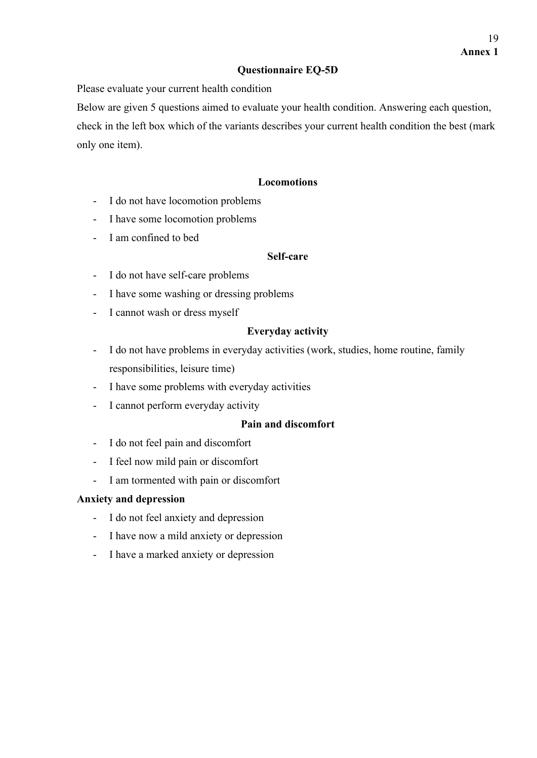# **Questionnaire EQ-5D**

Please evaluate your current health condition

Below are given 5 questions aimed to evaluate your health condition. Answering each question,

check in the left box which of the variants describes your current health condition the best (mark only one item).

# **Locomotions**

- I do not have locomotion problems
- I have some locomotion problems
- I am confined to bed

# **Self-care**

- I do not have self-care problems
- I have some washing or dressing problems
- I cannot wash or dress myself

# **Everyday activity**

- I do not have problems in everyday activities (work, studies, home routine, family responsibilities, leisure time)
- I have some problems with everyday activities
- I cannot perform everyday activity

# **Pain and discomfort**

- I do not feel pain and discomfort
- I feel now mild pain or discomfort
- I am tormented with pain or discomfort

# **Anxiety and depression**

- I do not feel anxiety and depression
- I have now a mild anxiety or depression
- I have a marked anxiety or depression